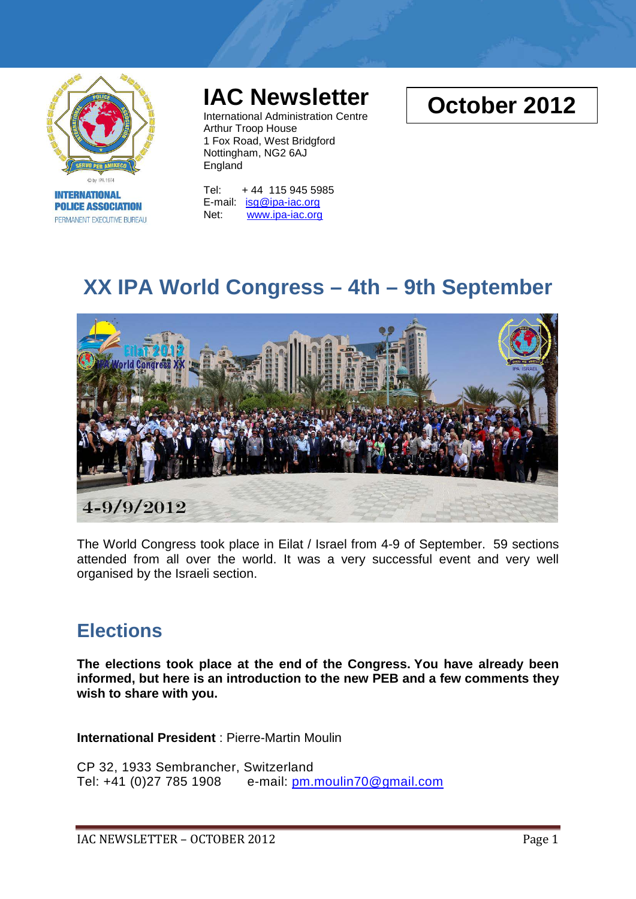

**INTERNATIONAL POLICE ASSOCIATION** PERMANENT EXECUTIVE BUREAU

# **IAC Newsletter**

International Administration Centre Arthur Troop House 1 Fox Road, West Bridgford Nottingham, NG2 6AJ England

Tel: + 44 115 945 5985 E-mail: [isg@ipa-iac.org](mailto:isg@ipa-iac.org) Net: [www.ipa-iac.org](http://www.ipa-iac.org/)

# **October 2012**

# **XX IPA World Congress – 4th – 9th September**



The World Congress took place in Eilat / Israel from 4-9 of September. 59 sections attended from all over the world. It was a very successful event and very well organised by the Israeli section.

### **Elections**

**The elections took place at the end of the Congress. You have already been informed, but here is an introduction to the new PEB and a few comments they wish to share with you.**

**International President** : Pierre-Martin Moulin

CP 32, 1933 Sembrancher, Switzerland Tel: +41 (0)27 785 1908 e-mail: [pm.moulin70@gmail.com](mailto:pm.moulin70@gmail.com)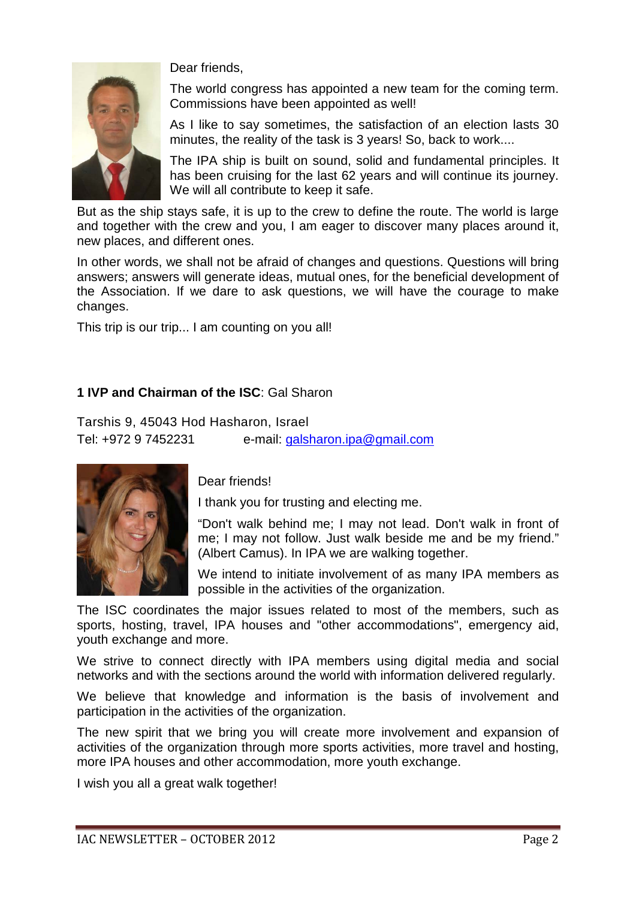

Dear friends,

The world congress has appointed a new team for the coming term. Commissions have been appointed as well!

As I like to say sometimes, the satisfaction of an election lasts 30 minutes, the reality of the task is 3 years! So, back to work....

The IPA ship is built on sound, solid and fundamental principles. It has been cruising for the last 62 years and will continue its journey. We will all contribute to keep it safe.

But as the ship stays safe, it is up to the crew to define the route. The world is large and together with the crew and you, I am eager to discover many places around it, new places, and different ones.

In other words, we shall not be afraid of changes and questions. Questions will bring answers; answers will generate ideas, mutual ones, for the beneficial development of the Association. If we dare to ask questions, we will have the courage to make changes.

This trip is our trip... I am counting on you all!

### **1 IVP and Chairman of the ISC**: Gal Sharon

Tarshis 9, 45043 Hod Hasharon, Israel Tel: +972 9 7452231 e-mail: [galsharon.ipa@gmail.com](mailto:galsharon.ipa@gmail.com)



Dear friends!

I thank you for trusting and electing me.

"Don't walk behind me; I may not lead. Don't walk in front of me; I may not follow. Just walk beside me and be my friend." (Albert Camus). In IPA we are walking together.

We intend to initiate involvement of as many IPA members as possible in the activities of the organization.

The ISC coordinates the major issues related to most of the members, such as sports, hosting, travel, IPA houses and "other accommodations", emergency aid, youth exchange and more.

We strive to connect directly with IPA members using digital media and social networks and with the sections around the world with information delivered regularly.

We believe that knowledge and information is the basis of involvement and participation in the activities of the organization.

The new spirit that we bring you will create more involvement and expansion of activities of the organization through more sports activities, more travel and hosting, more IPA houses and other accommodation, more youth exchange.

I wish you all a great walk together!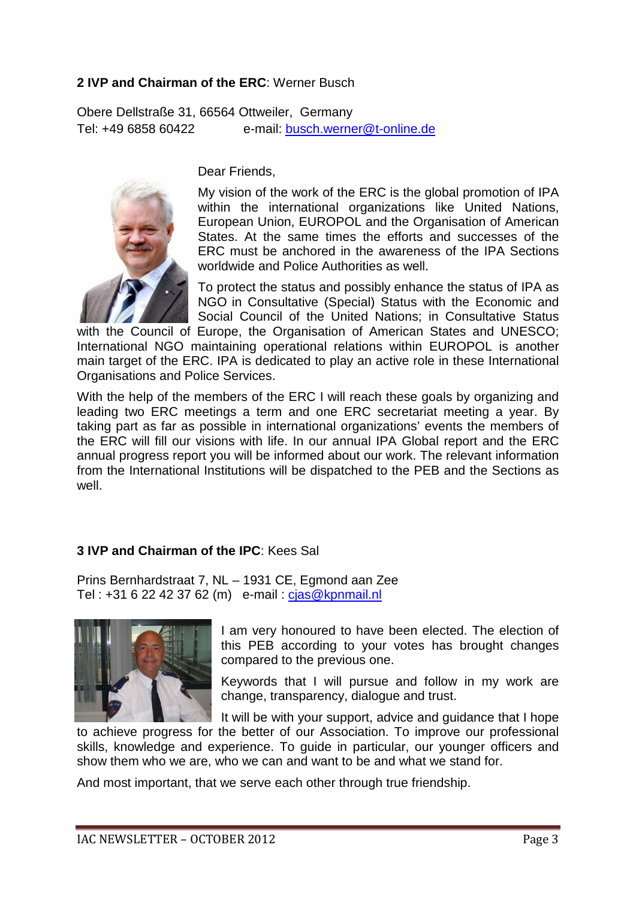### **2 IVP and Chairman of the ERC**: Werner Busch

Obere Dellstraße 31, 66564 Ottweiler, Germany Tel: +49 6858 60422 e-mail: [busch.werner@t-online.de](mailto:busch.werner@t-online.de) 



Dear Friends,

My vision of the work of the ERC is the global promotion of IPA within the international organizations like United Nations, European Union, EUROPOL and the Organisation of American States. At the same times the efforts and successes of the ERC must be anchored in the awareness of the IPA Sections worldwide and Police Authorities as well.

To protect the status and possibly enhance the status of IPA as NGO in Consultative (Special) Status with the Economic and Social Council of the United Nations; in Consultative Status

with the Council of Europe, the Organisation of American States and UNESCO; International NGO maintaining operational relations within EUROPOL is another main target of the ERC. IPA is dedicated to play an active role in these International Organisations and Police Services.

With the help of the members of the ERC I will reach these goals by organizing and leading two ERC meetings a term and one ERC secretariat meeting a year. By taking part as far as possible in international organizations' events the members of the ERC will fill our visions with life. In our annual IPA Global report and the ERC annual progress report you will be informed about our work. The relevant information from the International Institutions will be dispatched to the PEB and the Sections as well.

### **3 IVP and Chairman of the IPC**: Kees Sal

Prins Bernhardstraat 7, NL – 1931 CE, Egmond aan Zee Tel : +31 6 22 42 37 62 (m) e-mail : [cjas@kpnmail.nl](mailto:cjas@kpnmail.nl)



I am very honoured to have been elected. The election of this PEB according to your votes has brought changes compared to the previous one.

Keywords that I will pursue and follow in my work are change, transparency, dialogue and trust.

It will be with your support, advice and guidance that I hope

to achieve progress for the better of our Association. To improve our professional skills, knowledge and experience. To guide in particular, our younger officers and show them who we are, who we can and want to be and what we stand for.

And most important, that we serve each other through true friendship.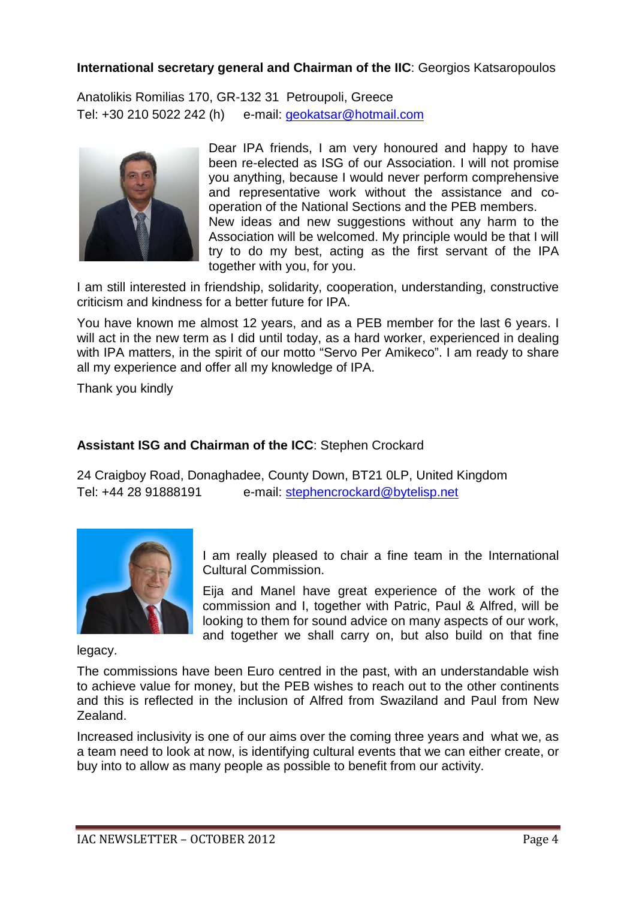### **International secretary general and Chairman of the IIC**: Georgios Katsaropoulos

Anatolikis Romilias 170, GR-132 31 Petroupoli, Greece Tel: +30 210 5022 242 (h) e-mail: [geokatsar@hotmail.com](mailto:geokatsar@hotmail.com)



Dear IPA friends, I am very honoured and happy to have been re-elected as ISG of our Association. I will not promise you anything, because I would never perform comprehensive and representative work without the assistance and cooperation of the National Sections and the PEB members. New ideas and new suggestions without any harm to the Association will be welcomed. My principle would be that I will try to do my best, acting as the first servant of the IPA together with you, for you.

I am still interested in friendship, solidarity, cooperation, understanding, constructive criticism and kindness for a better future for IPA.

You have known me almost 12 years, and as a PEB member for the last 6 years. I will act in the new term as I did until today, as a hard worker, experienced in dealing with IPA matters, in the spirit of our motto "Servo Per Amikeco". I am ready to share all my experience and offer all my knowledge of IPA.

Thank you kindly

### **Assistant ISG and Chairman of the ICC**: Stephen Crockard

24 Craigboy Road, Donaghadee, County Down, BT21 0LP, United Kingdom Tel: +44 28 91888191 e-mail: [stephencrockard@bytelisp.net](mailto:stephencrockard@bytelisp.net)



I am really pleased to chair a fine team in the International Cultural Commission.

Eija and Manel have great experience of the work of the commission and I, together with Patric, Paul & Alfred, will be looking to them for sound advice on many aspects of our work, and together we shall carry on, but also build on that fine

legacy.

The commissions have been Euro centred in the past, with an understandable wish to achieve value for money, but the PEB wishes to reach out to the other continents and this is reflected in the inclusion of Alfred from Swaziland and Paul from New Zealand.

Increased inclusivity is one of our aims over the coming three years and what we, as a team need to look at now, is identifying cultural events that we can either create, or buy into to allow as many people as possible to benefit from our activity.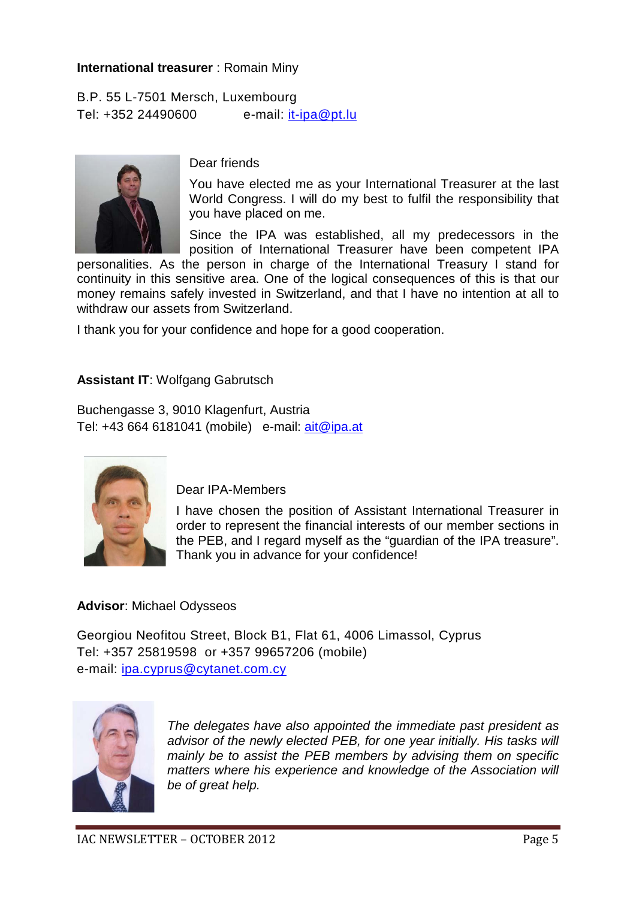### **International treasurer** : Romain Miny

B.P. 55 L-7501 Mersch, Luxembourg Tel: +352 24490600 e-mail: [it-ipa@pt.lu](mailto:it-ipa@pt.lu)



Dear friends

You have elected me as your International Treasurer at the last World Congress. I will do my best to fulfil the responsibility that you have placed on me.

Since the IPA was established, all my predecessors in the position of International Treasurer have been competent IPA

personalities. As the person in charge of the International Treasury I stand for continuity in this sensitive area. One of the logical consequences of this is that our money remains safely invested in Switzerland, and that I have no intention at all to withdraw our assets from Switzerland.

I thank you for your confidence and hope for a good cooperation.

### **Assistant IT**: Wolfgang Gabrutsch

Buchengasse 3, 9010 Klagenfurt, Austria Tel: +43 664 6181041 (mobile) e-mail: [ait@ipa.at](mailto:ait@ipa.at)



Dear IPA-Members

I have chosen the position of Assistant International Treasurer in order to represent the financial interests of our member sections in the PEB, and I regard myself as the "guardian of the IPA treasure". Thank you in advance for your confidence!

### **Advisor**: Michael Odysseos

Georgiou Neofitou Street, Block B1, Flat 61, 4006 Limassol, Cyprus Tel: +357 25819598 or +357 99657206 (mobile) e-mail: [ipa.cyprus@cytanet.com.cy](mailto:ipa.cyprus@cytanet.com.cy)



*The delegates have also appointed the immediate past president as advisor of the newly elected PEB, for one year initially. His tasks will mainly be to assist the PEB members by advising them on specific matters where his experience and knowledge of the Association will be of great help.*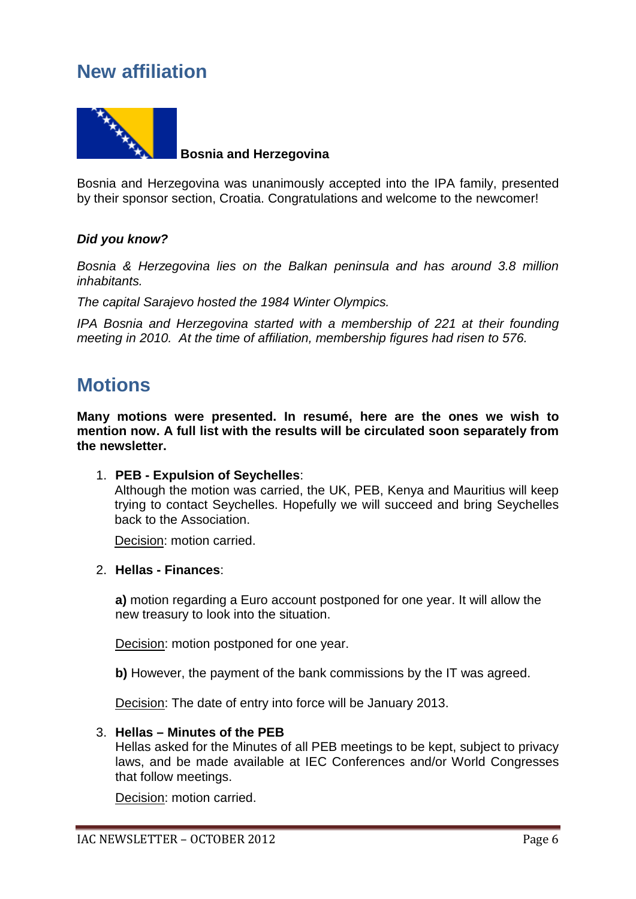### **New affiliation**



Bosnia and Herzegovina was unanimously accepted into the IPA family, presented by their sponsor section, Croatia. Congratulations and welcome to the newcomer!

### *Did you know?*

*Bosnia & Herzegovina lies on the Balkan peninsula and has around 3.8 million inhabitants.*

*The capital Sarajevo hosted the 1984 Winter Olympics.*

*IPA Bosnia and Herzegovina started with a membership of 221 at their founding meeting in 2010. At the time of affiliation, membership figures had risen to 576.*

### **Motions**

**Many motions were presented. In resumé, here are the ones we wish to mention now. A full list with the results will be circulated soon separately from the newsletter.** 

1. **PEB - Expulsion of Seychelles**:

Although the motion was carried, the UK, PEB, Kenya and Mauritius will keep trying to contact Seychelles. Hopefully we will succeed and bring Seychelles back to the Association.

Decision: motion carried.

#### 2. **Hellas - Finances**:

**a)** motion regarding a Euro account postponed for one year. It will allow the new treasury to look into the situation.

Decision: motion postponed for one year.

**b)** However, the payment of the bank commissions by the IT was agreed.

Decision: The date of entry into force will be January 2013.

#### 3. **Hellas – Minutes of the PEB**

Hellas asked for the Minutes of all PEB meetings to be kept, subject to privacy laws, and be made available at IEC Conferences and/or World Congresses that follow meetings.

Decision: motion carried.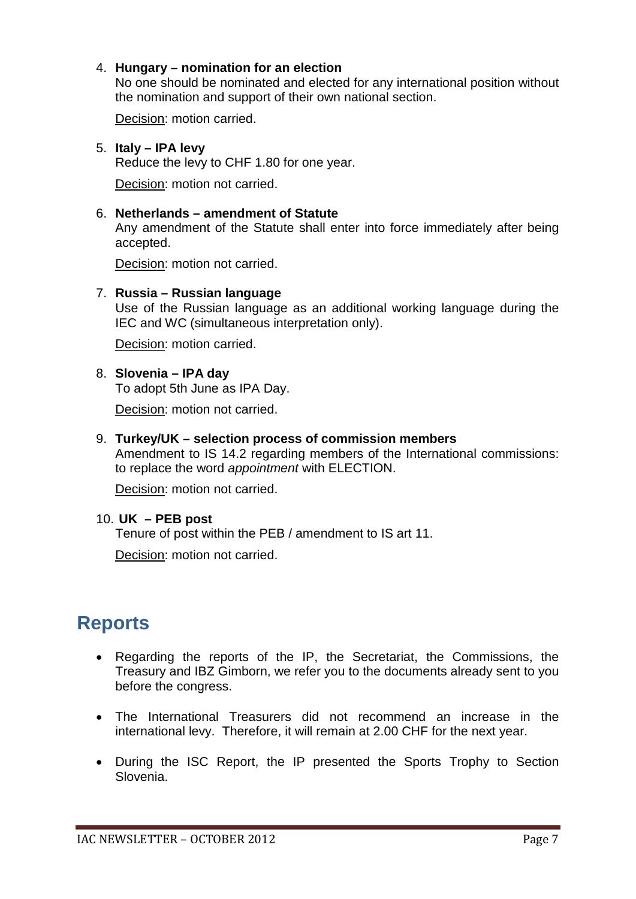### 4. **Hungary – nomination for an election**

No one should be nominated and elected for any international position without the nomination and support of their own national section.

Decision: motion carried.

### 5. **Italy – IPA levy**

Reduce the levy to CHF 1.80 for one year.

Decision: motion not carried.

### 6. **Netherlands – amendment of Statute**

Any amendment of the Statute shall enter into force immediately after being accepted.

Decision: motion not carried.

### 7. **Russia – Russian language**

Use of the Russian language as an additional working language during the IEC and WC (simultaneous interpretation only).

Decision: motion carried.

### 8. **Slovenia – IPA day**

To adopt 5th June as IPA Day.

Decision: motion not carried.

### 9. **Turkey/UK – selection process of commission members**

Amendment to IS 14.2 regarding members of the International commissions: to replace the word *appointment* with ELECTION.

Decision: motion not carried.

### 10. **UK – PEB post**

Tenure of post within the PEB / amendment to IS art 11.

Decision: motion not carried.

## **Reports**

- Regarding the reports of the IP, the Secretariat, the Commissions, the Treasury and IBZ Gimborn, we refer you to the documents already sent to you before the congress.
- The International Treasurers did not recommend an increase in the international levy. Therefore, it will remain at 2.00 CHF for the next year.
- During the ISC Report, the IP presented the Sports Trophy to Section Slovenia.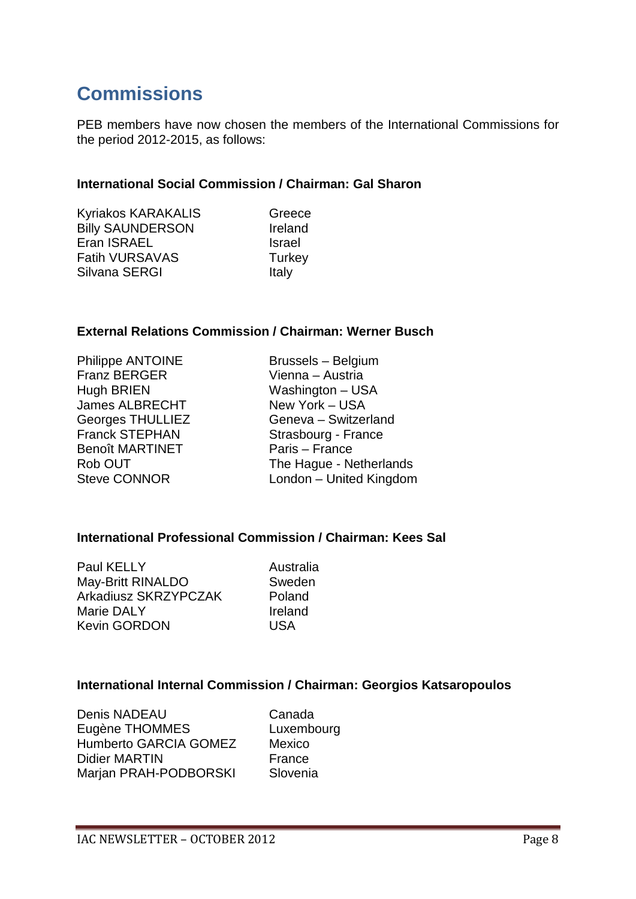# **Commissions**

PEB members have now chosen the members of the International Commissions for the period 2012-2015, as follows:

### **International Social Commission / Chairman: Gal Sharon**

| Kyriakos KARAKALIS      | Gre         |
|-------------------------|-------------|
| <b>Billy SAUNDERSON</b> | Irela       |
| Eran ISRAEL             | <b>Isra</b> |
| <b>Fatih VURSAVAS</b>   | Turk        |
| Silvana SERGI           | Italy       |
|                         |             |

Greece Ireland **Israel Turkey** 

### **External Relations Commission / Chairman: Werner Busch**

| <b>Philippe ANTOINE</b> | <b>Brussels - Belgium</b> |
|-------------------------|---------------------------|
| <b>Franz BERGER</b>     | Vienna - Austria          |
| <b>Hugh BRIEN</b>       | Washington - USA          |
| <b>James ALBRECHT</b>   | New York - USA            |
| <b>Georges THULLIEZ</b> | Geneva - Switzerland      |
| <b>Franck STEPHAN</b>   | Strasbourg - France       |
| <b>Benoît MARTINET</b>  | Paris - France            |
| Rob OUT                 | The Hague - Netherlands   |
| <b>Steve CONNOR</b>     | London - United Kingdom   |

### **International Professional Commission / Chairman: Kees Sal**

Paul KELLY Australia May-Britt RINALDO Sweden Arkadiusz SKRZYPCZAK Poland Marie DALY **Ireland**<br>
Kevin GORDON USA Kevin GORDON

### **International Internal Commission / Chairman: Georgios Katsaropoulos**

Denis NADEAU Canada Eugène THOMMES Luxembourg Humberto GARCIA GOMEZ Mexico Didier MARTIN France Marjan PRAH-PODBORSKI Slovenia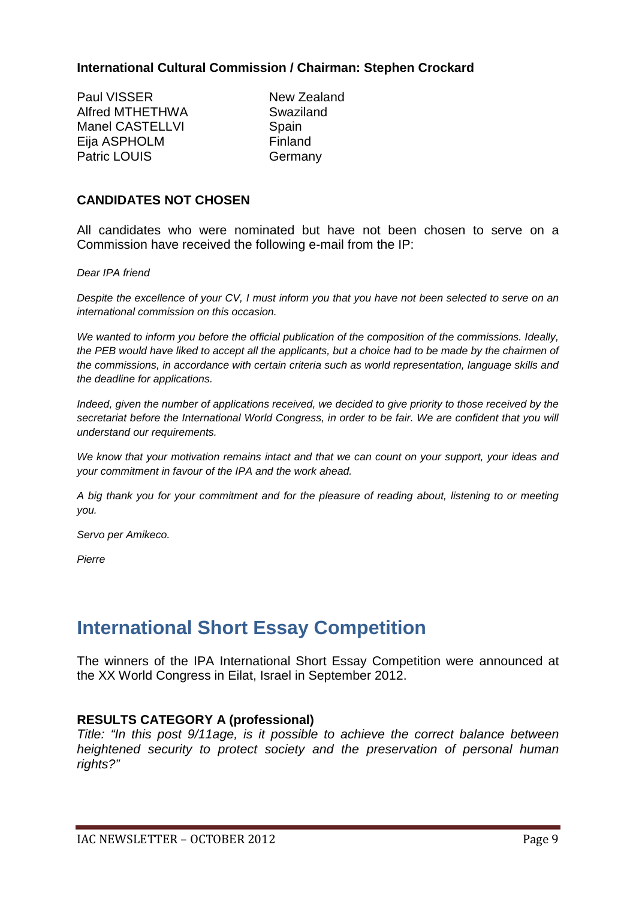### **International Cultural Commission / Chairman: Stephen Crockard**

Paul VISSER<br>Alfred MTHETHWA<br>Swaziland Alfred MTHFTHWA Manel CASTELLVI Spain Eija ASPHOLM Finland Patric LOUIS Germany

### **CANDIDATES NOT CHOSEN**

All candidates who were nominated but have not been chosen to serve on a Commission have received the following e-mail from the IP:

*Dear IPA friend*

*Despite the excellence of your CV, I must inform you that you have not been selected to serve on an international commission on this occasion.* 

*We wanted to inform you before the official publication of the composition of the commissions. Ideally, the PEB would have liked to accept all the applicants, but a choice had to be made by the chairmen of the commissions, in accordance with certain criteria such as world representation, language skills and the deadline for applications.* 

*Indeed, given the number of applications received, we decided to give priority to those received by the secretariat before the International World Congress, in order to be fair. We are confident that you will understand our requirements.* 

*We know that your motivation remains intact and that we can count on your support, your ideas and your commitment in favour of the IPA and the work ahead.* 

*A big thank you for your commitment and for the pleasure of reading about, listening to or meeting you.* 

*Servo per Amikeco.* 

*Pierre*

### **International Short Essay Competition**

The winners of the IPA International Short Essay Competition were announced at the XX World Congress in Eilat, Israel in September 2012.

#### **RESULTS CATEGORY A (professional)**

*Title: "In this post 9/11age, is it possible to achieve the correct balance between heightened security to protect society and the preservation of personal human rights?"*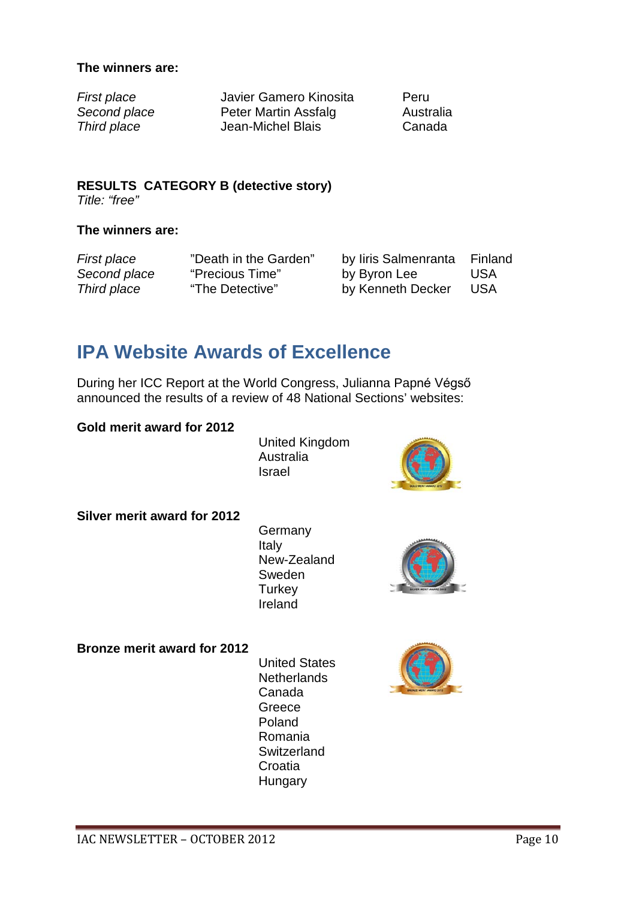### **The winners are:**

*First place* Javier Gamero Kinosita Peru **Second place** Peter Martin Assfalg Australia *Third place* Jean-Michel Blais Canada

#### **RESULTS CATEGORY B (detective story)** *Title: "free"*

### **The winners are:**

*First place* "Death in the Garden" by Iiris Salmenranta Finland *Second place* "Precious Time" by Byron Lee USA *Third place* "The Detective" by Kenneth Decker USA

### **IPA Website Awards of Excellence**

During her ICC Report at the World Congress, Julianna Papné Végső announced the results of a review of 48 National Sections' websites:

### **Gold merit award for 2012**

United Kingdom Australia Israel



**Silver merit award for 2012**

**Germany** Italy New-Zealand Sweden **Turkey** Ireland



#### **Bronze merit award for 2012**

United States **Netherlands** Canada Greece Poland Romania **Switzerland** Croatia **Hungary**